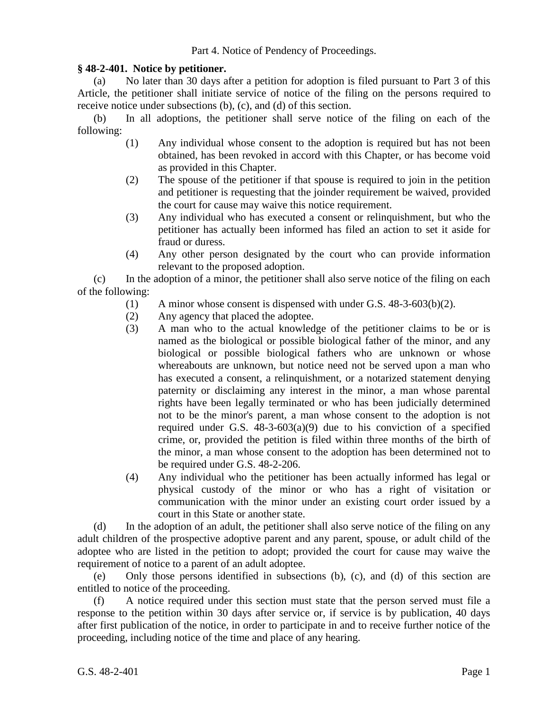## Part 4. Notice of Pendency of Proceedings.

## **§ 48-2-401. Notice by petitioner.**

(a) No later than 30 days after a petition for adoption is filed pursuant to Part 3 of this Article, the petitioner shall initiate service of notice of the filing on the persons required to receive notice under subsections (b), (c), and (d) of this section.

(b) In all adoptions, the petitioner shall serve notice of the filing on each of the following:

- (1) Any individual whose consent to the adoption is required but has not been obtained, has been revoked in accord with this Chapter, or has become void as provided in this Chapter.
- (2) The spouse of the petitioner if that spouse is required to join in the petition and petitioner is requesting that the joinder requirement be waived, provided the court for cause may waive this notice requirement.
- (3) Any individual who has executed a consent or relinquishment, but who the petitioner has actually been informed has filed an action to set it aside for fraud or duress.
- (4) Any other person designated by the court who can provide information relevant to the proposed adoption.

(c) In the adoption of a minor, the petitioner shall also serve notice of the filing on each of the following:

- (1) A minor whose consent is dispensed with under G.S. 48-3-603(b)(2).
- (2) Any agency that placed the adoptee.
- (3) A man who to the actual knowledge of the petitioner claims to be or is named as the biological or possible biological father of the minor, and any biological or possible biological fathers who are unknown or whose whereabouts are unknown, but notice need not be served upon a man who has executed a consent, a relinquishment, or a notarized statement denying paternity or disclaiming any interest in the minor, a man whose parental rights have been legally terminated or who has been judicially determined not to be the minor's parent, a man whose consent to the adoption is not required under G.S.  $48-3-603(a)(9)$  due to his conviction of a specified crime, or, provided the petition is filed within three months of the birth of the minor, a man whose consent to the adoption has been determined not to be required under G.S. 48-2-206.
- (4) Any individual who the petitioner has been actually informed has legal or physical custody of the minor or who has a right of visitation or communication with the minor under an existing court order issued by a court in this State or another state.

(d) In the adoption of an adult, the petitioner shall also serve notice of the filing on any adult children of the prospective adoptive parent and any parent, spouse, or adult child of the adoptee who are listed in the petition to adopt; provided the court for cause may waive the requirement of notice to a parent of an adult adoptee.

(e) Only those persons identified in subsections (b), (c), and (d) of this section are entitled to notice of the proceeding.

(f) A notice required under this section must state that the person served must file a response to the petition within 30 days after service or, if service is by publication, 40 days after first publication of the notice, in order to participate in and to receive further notice of the proceeding, including notice of the time and place of any hearing.